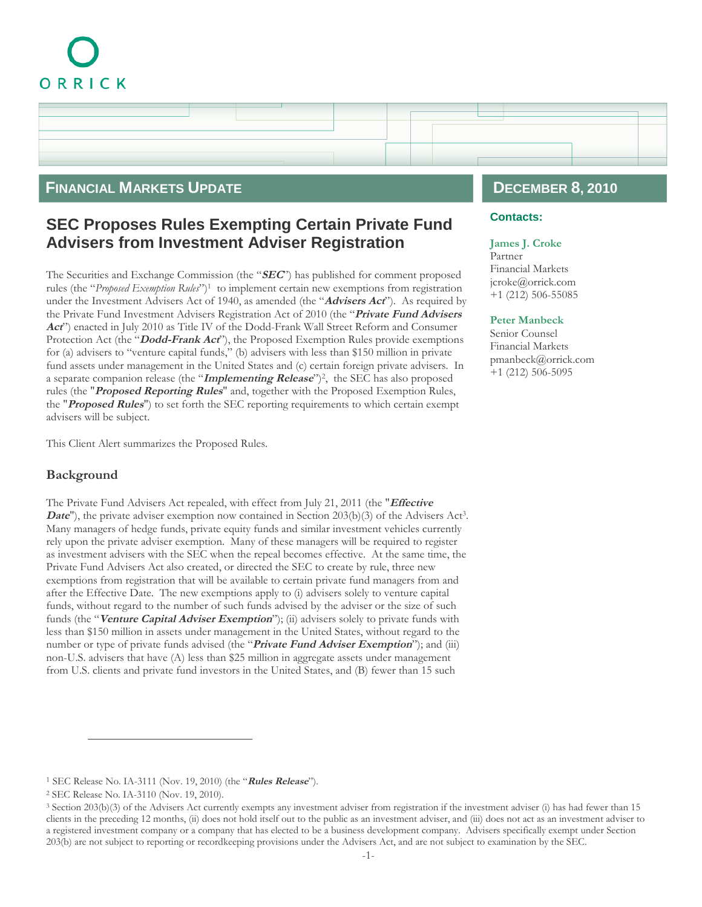# ORRICK

# **FINANCIAL MARKETS UPDATE**

# **SEC Proposes Rules Exempting Certain Private Fund Advisers from Investment Adviser Registration**

The Securities and Exchange Commission (the "**SEC**") has published for comment proposed rules (the "Proposed Exemption Rules")<sup>[1](#page-0-0)</sup> to implement certain new exemptions from registration under the Investment Advisers Act of 1940, as amended (the "**Advisers Act**"). As required by the Private Fund Investment Advisers Registration Act of 2010 (the "**Private Fund Advisers Act**") enacted in July 2010 as Title IV of the Dodd-Frank Wall Street Reform and Consumer Protection Act (the "**Dodd-Frank Act**"), the Proposed Exemption Rules provide exemptions for (a) advisers to "venture capital funds," (b) advisers with less than \$150 million in private fund assets under management in the United States and (c) certain foreign private advisers. In a separate companion release (the "**Implementing Release**")[2](#page-0-1) , the SEC has also proposed rules (the "**Proposed Reporting Rules**" and, together with the Proposed Exemption Rules, the "**Proposed Rules**") to set forth the SEC reporting requirements to which certain exempt advisers will be subject.

This Client Alert summarizes the Proposed Rules.

## **Background**

The Private Fund Advisers Act repealed, with effect from July 21, 2011 (the "**Effective Date''**), the private adviser exemption now contained in Section 20[3](#page-0-2)(b)(3) of the Advisers Act<sup>3</sup>. Many managers of hedge funds, private equity funds and similar investment vehicles currently rely upon the private adviser exemption. Many of these managers will be required to register as investment advisers with the SEC when the repeal becomes effective. At the same time, the Private Fund Advisers Act also created, or directed the SEC to create by rule, three new exemptions from registration that will be available to certain private fund managers from and after the Effective Date. The new exemptions apply to (i) advisers solely to venture capital funds, without regard to the number of such funds advised by the adviser or the size of such funds (the "**Venture Capital Adviser Exemption**"); (ii) advisers solely to private funds with less than \$150 million in assets under management in the United States, without regard to the number or type of private funds advised (the "**Private Fund Adviser Exemption**"); and (iii) non-U.S. advisers that have (A) less than \$25 million in aggregate assets under management from U.S. clients and private fund investors in the United States, and (B) fewer than 15 such

# **DECEMBER 8, 2010**

### **Contacts:**

#### **[James J. Croke](http://www.orrick.com/lawyers/Bio.asp?ID=185311)**

Partner Financial Markets [jcroke@orrick.com](mailto:jcroke@orrick.co) +1 (212) 506-55085

#### **[Peter Manbeck](http://www.orrick.com/lawyers/Bio.asp?ID=185330)**

Senior Counsel Financial Markets [pmanbeck@orrick.com](mailto:pmanbeck@orrick.com) +1 (212) 506-5095

<span id="page-0-1"></span><span id="page-0-0"></span><sup>1</sup> SEC Release No. IA-3111 (Nov. 19, 2010) (the "**Rules Release**").

<span id="page-0-2"></span><sup>2</sup> SEC Release No. IA-3110 (Nov. 19, 2010).

<sup>3</sup> Section 203(b)(3) of the Advisers Act currently exempts any investment adviser from registration if the investment adviser (i) has had fewer than 15 clients in the preceding 12 months, (ii) does not hold itself out to the public as an investment adviser, and (iii) does not act as an investment adviser to a registered investment company or a company that has elected to be a business development company. Advisers specifically exempt under Section 203(b) are not subject to reporting or recordkeeping provisions under the Advisers Act, and are not subject to examination by the SEC.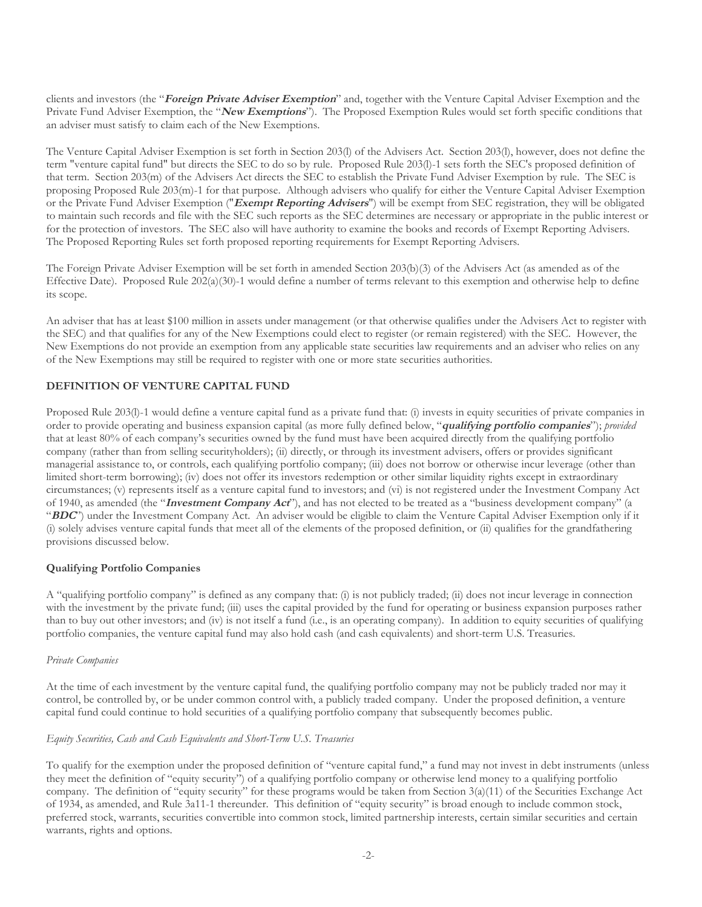clients and investors (the "**Foreign Private Adviser Exemption**" and, together with the Venture Capital Adviser Exemption and the Private Fund Adviser Exemption, the "**New Exemptions**"). The Proposed Exemption Rules would set forth specific conditions that an adviser must satisfy to claim each of the New Exemptions.

The Venture Capital Adviser Exemption is set forth in Section 203(l) of the Advisers Act. Section 203(l), however, does not define the term "venture capital fund" but directs the SEC to do so by rule. Proposed Rule 203(l)-1 sets forth the SEC's proposed definition of that term. Section 203(m) of the Advisers Act directs the SEC to establish the Private Fund Adviser Exemption by rule. The SEC is proposing Proposed Rule 203(m)-1 for that purpose. Although advisers who qualify for either the Venture Capital Adviser Exemption or the Private Fund Adviser Exemption ("**Exempt Reporting Advisers**") will be exempt from SEC registration, they will be obligated to maintain such records and file with the SEC such reports as the SEC determines are necessary or appropriate in the public interest or for the protection of investors. The SEC also will have authority to examine the books and records of Exempt Reporting Advisers. The Proposed Reporting Rules set forth proposed reporting requirements for Exempt Reporting Advisers.

The Foreign Private Adviser Exemption will be set forth in amended Section 203(b)(3) of the Advisers Act (as amended as of the Effective Date). Proposed Rule 202(a)(30)-1 would define a number of terms relevant to this exemption and otherwise help to define its scope.

An adviser that has at least \$100 million in assets under management (or that otherwise qualifies under the Advisers Act to register with the SEC) and that qualifies for any of the New Exemptions could elect to register (or remain registered) with the SEC. However, the New Exemptions do not provide an exemption from any applicable state securities law requirements and an adviser who relies on any of the New Exemptions may still be required to register with one or more state securities authorities.

#### **DEFINITION OF VENTURE CAPITAL FUND**

Proposed Rule 203(l)-1 would define a venture capital fund as a private fund that: (i) invests in equity securities of private companies in order to provide operating and business expansion capital (as more fully defined below, "**qualifying portfolio companies**"); *provided* that at least 80% of each company's securities owned by the fund must have been acquired directly from the qualifying portfolio company (rather than from selling securityholders); (ii) directly, or through its investment advisers, offers or provides significant managerial assistance to, or controls, each qualifying portfolio company; (iii) does not borrow or otherwise incur leverage (other than limited short-term borrowing); (iv) does not offer its investors redemption or other similar liquidity rights except in extraordinary circumstances; (v) represents itself as a venture capital fund to investors; and (vi) is not registered under the Investment Company Act of 1940, as amended (the "**Investment Company Act**"), and has not elected to be treated as a "business development company" (a "**BDC**") under the Investment Company Act. An adviser would be eligible to claim the Venture Capital Adviser Exemption only if it (i) solely advises venture capital funds that meet all of the elements of the proposed definition, or (ii) qualifies for the grandfathering provisions discussed below.

#### **Qualifying Portfolio Companies**

A "qualifying portfolio company" is defined as any company that: (i) is not publicly traded; (ii) does not incur leverage in connection with the investment by the private fund; (iii) uses the capital provided by the fund for operating or business expansion purposes rather than to buy out other investors; and (iv) is not itself a fund (i.e., is an operating company). In addition to equity securities of qualifying portfolio companies, the venture capital fund may also hold cash (and cash equivalents) and short-term U.S. Treasuries.

#### *Private Companies*

At the time of each investment by the venture capital fund, the qualifying portfolio company may not be publicly traded nor may it control, be controlled by, or be under common control with, a publicly traded company. Under the proposed definition, a venture capital fund could continue to hold securities of a qualifying portfolio company that subsequently becomes public.

#### *Equity Securities, Cash and Cash Equivalents and Short-Term U.S. Treasuries*

To qualify for the exemption under the proposed definition of "venture capital fund," a fund may not invest in debt instruments (unless they meet the definition of "equity security") of a qualifying portfolio company or otherwise lend money to a qualifying portfolio company. The definition of "equity security" for these programs would be taken from Section 3(a)(11) of the Securities Exchange Act of 1934, as amended, and Rule 3a11-1 thereunder. This definition of "equity security" is broad enough to include common stock, preferred stock, warrants, securities convertible into common stock, limited partnership interests, certain similar securities and certain warrants, rights and options.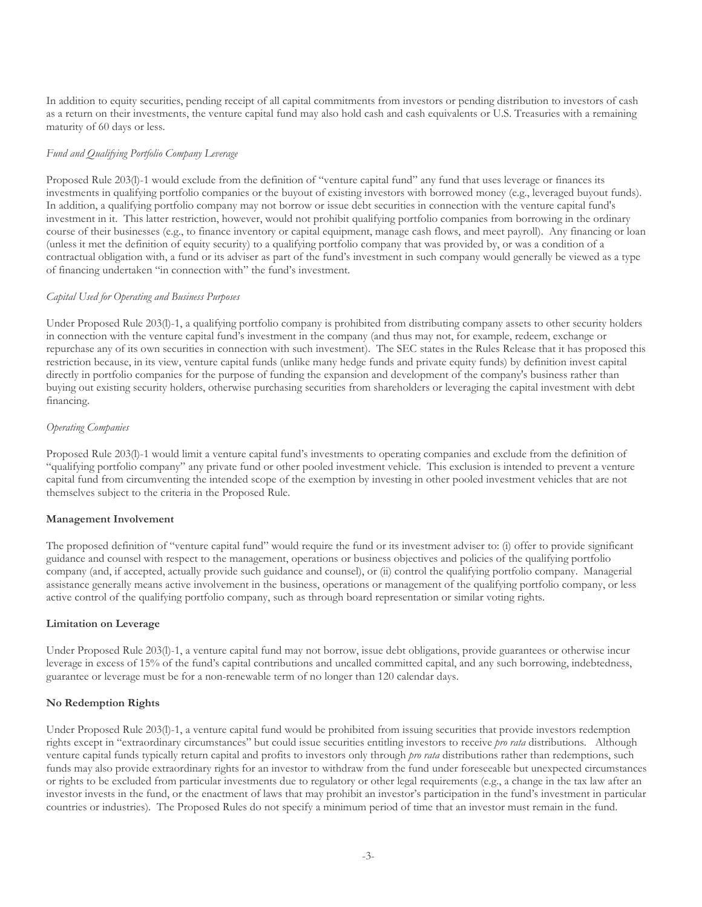In addition to equity securities, pending receipt of all capital commitments from investors or pending distribution to investors of cash as a return on their investments, the venture capital fund may also hold cash and cash equivalents or U.S. Treasuries with a remaining maturity of 60 days or less.

#### *Fund and Qualifying Portfolio Company Leverage*

Proposed Rule 203(l)-1 would exclude from the definition of "venture capital fund" any fund that uses leverage or finances its investments in qualifying portfolio companies or the buyout of existing investors with borrowed money (e.g., leveraged buyout funds). In addition, a qualifying portfolio company may not borrow or issue debt securities in connection with the venture capital fund's investment in it. This latter restriction, however, would not prohibit qualifying portfolio companies from borrowing in the ordinary course of their businesses (e.g., to finance inventory or capital equipment, manage cash flows, and meet payroll). Any financing or loan (unless it met the definition of equity security) to a qualifying portfolio company that was provided by, or was a condition of a contractual obligation with, a fund or its adviser as part of the fund's investment in such company would generally be viewed as a type of financing undertaken "in connection with" the fund's investment.

#### *Capital Used for Operating and Business Purposes*

Under Proposed Rule 203(l)-1, a qualifying portfolio company is prohibited from distributing company assets to other security holders in connection with the venture capital fund's investment in the company (and thus may not, for example, redeem, exchange or repurchase any of its own securities in connection with such investment). The SEC states in the Rules Release that it has proposed this restriction because, in its view, venture capital funds (unlike many hedge funds and private equity funds) by definition invest capital directly in portfolio companies for the purpose of funding the expansion and development of the company's business rather than buying out existing security holders, otherwise purchasing securities from shareholders or leveraging the capital investment with debt financing.

#### *Operating Companies*

Proposed Rule 203(l)-1 would limit a venture capital fund's investments to operating companies and exclude from the definition of "qualifying portfolio company" any private fund or other pooled investment vehicle. This exclusion is intended to prevent a venture capital fund from circumventing the intended scope of the exemption by investing in other pooled investment vehicles that are not themselves subject to the criteria in the Proposed Rule.

#### **Management Involvement**

The proposed definition of "venture capital fund" would require the fund or its investment adviser to: (i) offer to provide significant guidance and counsel with respect to the management, operations or business objectives and policies of the qualifying portfolio company (and, if accepted, actually provide such guidance and counsel), or (ii) control the qualifying portfolio company. Managerial assistance generally means active involvement in the business, operations or management of the qualifying portfolio company, or less active control of the qualifying portfolio company, such as through board representation or similar voting rights.

#### **Limitation on Leverage**

Under Proposed Rule 203(l)-1, a venture capital fund may not borrow, issue debt obligations, provide guarantees or otherwise incur leverage in excess of 15% of the fund's capital contributions and uncalled committed capital, and any such borrowing, indebtedness, guarantee or leverage must be for a non-renewable term of no longer than 120 calendar days.

#### **No Redemption Rights**

Under Proposed Rule 203(l)-1, a venture capital fund would be prohibited from issuing securities that provide investors redemption rights except in "extraordinary circumstances" but could issue securities entitling investors to receive *pro rata* distributions. Although venture capital funds typically return capital and profits to investors only through *pro rata* distributions rather than redemptions, such funds may also provide extraordinary rights for an investor to withdraw from the fund under foreseeable but unexpected circumstances or rights to be excluded from particular investments due to regulatory or other legal requirements (e.g., a change in the tax law after an investor invests in the fund, or the enactment of laws that may prohibit an investor's participation in the fund's investment in particular countries or industries). The Proposed Rules do not specify a minimum period of time that an investor must remain in the fund.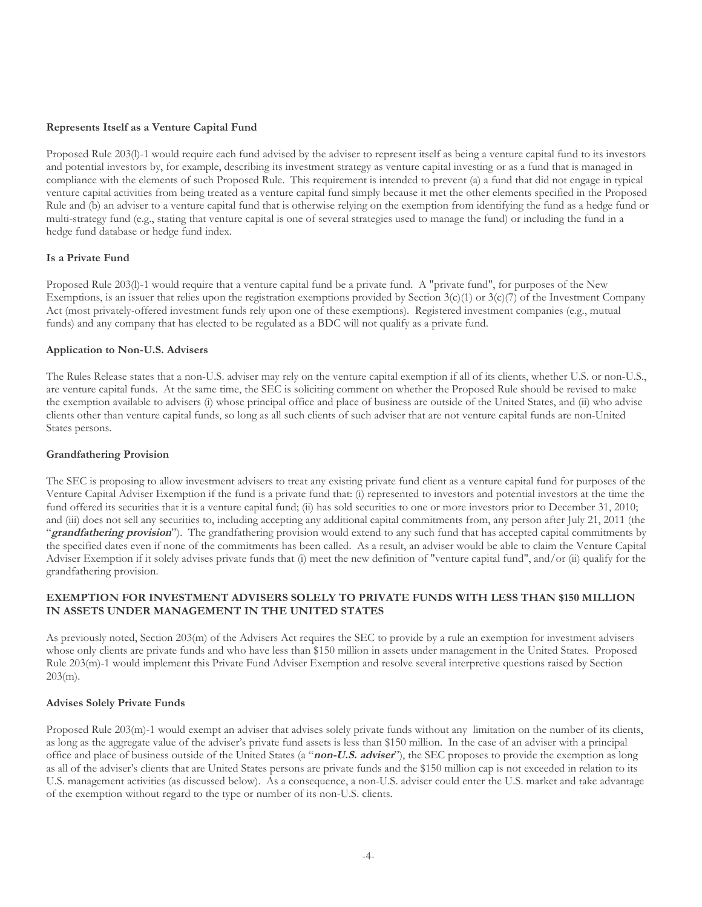#### **Represents Itself as a Venture Capital Fund**

Proposed Rule 203(l)-1 would require each fund advised by the adviser to represent itself as being a venture capital fund to its investors and potential investors by, for example, describing its investment strategy as venture capital investing or as a fund that is managed in compliance with the elements of such Proposed Rule. This requirement is intended to prevent (a) a fund that did not engage in typical venture capital activities from being treated as a venture capital fund simply because it met the other elements specified in the Proposed Rule and (b) an adviser to a venture capital fund that is otherwise relying on the exemption from identifying the fund as a hedge fund or multi-strategy fund (e.g., stating that venture capital is one of several strategies used to manage the fund) or including the fund in a hedge fund database or hedge fund index.

#### **Is a Private Fund**

Proposed Rule 203(l)-1 would require that a venture capital fund be a private fund. A "private fund", for purposes of the New Exemptions, is an issuer that relies upon the registration exemptions provided by Section  $3(c)(1)$  or  $3(c)(7)$  of the Investment Company Act (most privately-offered investment funds rely upon one of these exemptions). Registered investment companies (e.g., mutual funds) and any company that has elected to be regulated as a BDC will not qualify as a private fund.

#### **Application to Non-U.S. Advisers**

The Rules Release states that a non-U.S. adviser may rely on the venture capital exemption if all of its clients, whether U.S. or non-U.S., are venture capital funds. At the same time, the SEC is soliciting comment on whether the Proposed Rule should be revised to make the exemption available to advisers (i) whose principal office and place of business are outside of the United States, and (ii) who advise clients other than venture capital funds, so long as all such clients of such adviser that are not venture capital funds are non-United States persons.

#### **Grandfathering Provision**

The SEC is proposing to allow investment advisers to treat any existing private fund client as a venture capital fund for purposes of the Venture Capital Adviser Exemption if the fund is a private fund that: (i) represented to investors and potential investors at the time the fund offered its securities that it is a venture capital fund; (ii) has sold securities to one or more investors prior to December 31, 2010; and (iii) does not sell any securities to, including accepting any additional capital commitments from, any person after July 21, 2011 (the "**grandfathering provision**"). The grandfathering provision would extend to any such fund that has accepted capital commitments by the specified dates even if none of the commitments has been called. As a result, an adviser would be able to claim the Venture Capital Adviser Exemption if it solely advises private funds that (i) meet the new definition of "venture capital fund", and/or (ii) qualify for the grandfathering provision.

#### **EXEMPTION FOR INVESTMENT ADVISERS SOLELY TO PRIVATE FUNDS WITH LESS THAN \$150 MILLION IN ASSETS UNDER MANAGEMENT IN THE UNITED STATES**

As previously noted, Section 203(m) of the Advisers Act requires the SEC to provide by a rule an exemption for investment advisers whose only clients are private funds and who have less than \$150 million in assets under management in the United States. Proposed Rule 203(m)-1 would implement this Private Fund Adviser Exemption and resolve several interpretive questions raised by Section  $203(m)$ .

#### **Advises Solely Private Funds**

Proposed Rule 203(m)-1 would exempt an adviser that advises solely private funds without any limitation on the number of its clients, as long as the aggregate value of the adviser's private fund assets is less than \$150 million. In the case of an adviser with a principal office and place of business outside of the United States (a "**non-U.S. adviser**"), the SEC proposes to provide the exemption as long as all of the adviser's clients that are United States persons are private funds and the \$150 million cap is not exceeded in relation to its U.S. management activities (as discussed below). As a consequence, a non-U.S. adviser could enter the U.S. market and take advantage of the exemption without regard to the type or number of its non-U.S. clients.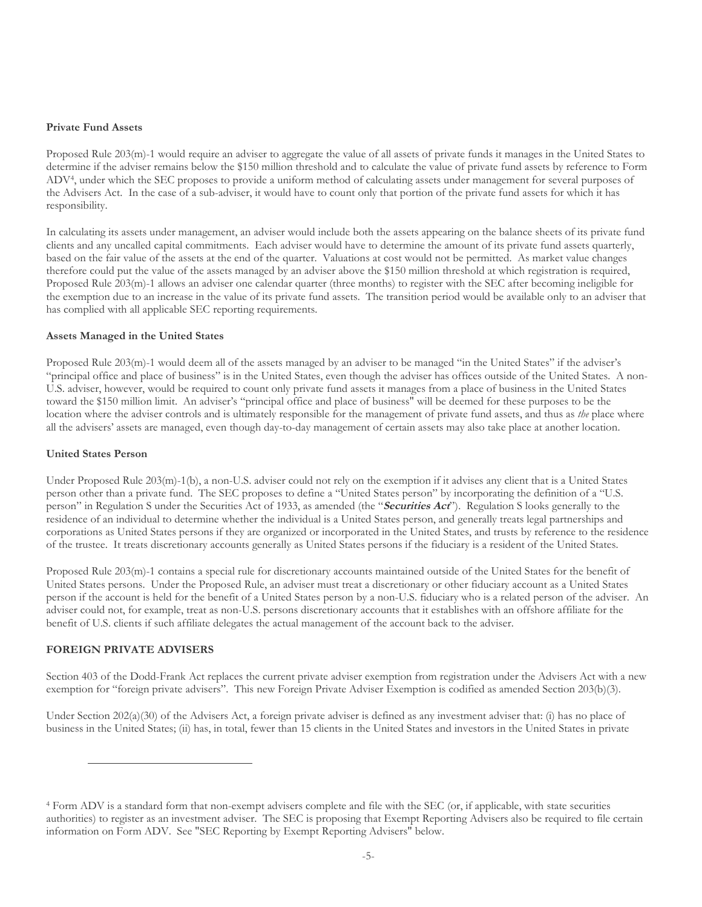#### **Private Fund Assets**

Proposed Rule 203(m)-1 would require an adviser to aggregate the value of all assets of private funds it manages in the United States to determine if the adviser remains below the \$150 million threshold and to calculate the value of private fund assets by reference to Form ADV[4](#page-4-0) , under which the SEC proposes to provide a uniform method of calculating assets under management for several purposes of the Advisers Act. In the case of a sub-adviser, it would have to count only that portion of the private fund assets for which it has responsibility.

In calculating its assets under management, an adviser would include both the assets appearing on the balance sheets of its private fund clients and any uncalled capital commitments. Each adviser would have to determine the amount of its private fund assets quarterly, based on the fair value of the assets at the end of the quarter. Valuations at cost would not be permitted. As market value changes therefore could put the value of the assets managed by an adviser above the \$150 million threshold at which registration is required, Proposed Rule 203(m)-1 allows an adviser one calendar quarter (three months) to register with the SEC after becoming ineligible for the exemption due to an increase in the value of its private fund assets. The transition period would be available only to an adviser that has complied with all applicable SEC reporting requirements.

#### **Assets Managed in the United States**

Proposed Rule 203(m)-1 would deem all of the assets managed by an adviser to be managed "in the United States" if the adviser's "principal office and place of business" is in the United States, even though the adviser has offices outside of the United States. A non-U.S. adviser, however, would be required to count only private fund assets it manages from a place of business in the United States toward the \$150 million limit. An adviser's "principal office and place of business" will be deemed for these purposes to be the location where the adviser controls and is ultimately responsible for the management of private fund assets, and thus as *the* place where all the advisers' assets are managed, even though day-to-day management of certain assets may also take place at another location.

#### **United States Person**

Under Proposed Rule 203(m)-1(b), a non-U.S. adviser could not rely on the exemption if it advises any client that is a United States person other than a private fund. The SEC proposes to define a "United States person" by incorporating the definition of a "U.S. person" in Regulation S under the Securities Act of 1933, as amended (the "**Securities Act**"). Regulation S looks generally to the residence of an individual to determine whether the individual is a United States person, and generally treats legal partnerships and corporations as United States persons if they are organized or incorporated in the United States, and trusts by reference to the residence of the trustee. It treats discretionary accounts generally as United States persons if the fiduciary is a resident of the United States.

Proposed Rule 203(m)-1 contains a special rule for discretionary accounts maintained outside of the United States for the benefit of United States persons. Under the Proposed Rule, an adviser must treat a discretionary or other fiduciary account as a United States person if the account is held for the benefit of a United States person by a non-U.S. fiduciary who is a related person of the adviser. An adviser could not, for example, treat as non-U.S. persons discretionary accounts that it establishes with an offshore affiliate for the benefit of U.S. clients if such affiliate delegates the actual management of the account back to the adviser.

#### **FOREIGN PRIVATE ADVISERS**

Section 403 of the Dodd-Frank Act replaces the current private adviser exemption from registration under the Advisers Act with a new exemption for "foreign private advisers". This new Foreign Private Adviser Exemption is codified as amended Section 203(b)(3).

Under Section 202(a)(30) of the Advisers Act, a foreign private adviser is defined as any investment adviser that: (i) has no place of business in the United States; (ii) has, in total, fewer than 15 clients in the United States and investors in the United States in private

<span id="page-4-0"></span><sup>4</sup> Form ADV is a standard form that non-exempt advisers complete and file with the SEC (or, if applicable, with state securities authorities) to register as an investment adviser. The SEC is proposing that Exempt Reporting Advisers also be required to file certain information on Form ADV. See "SEC Reporting by Exempt Reporting Advisers" below.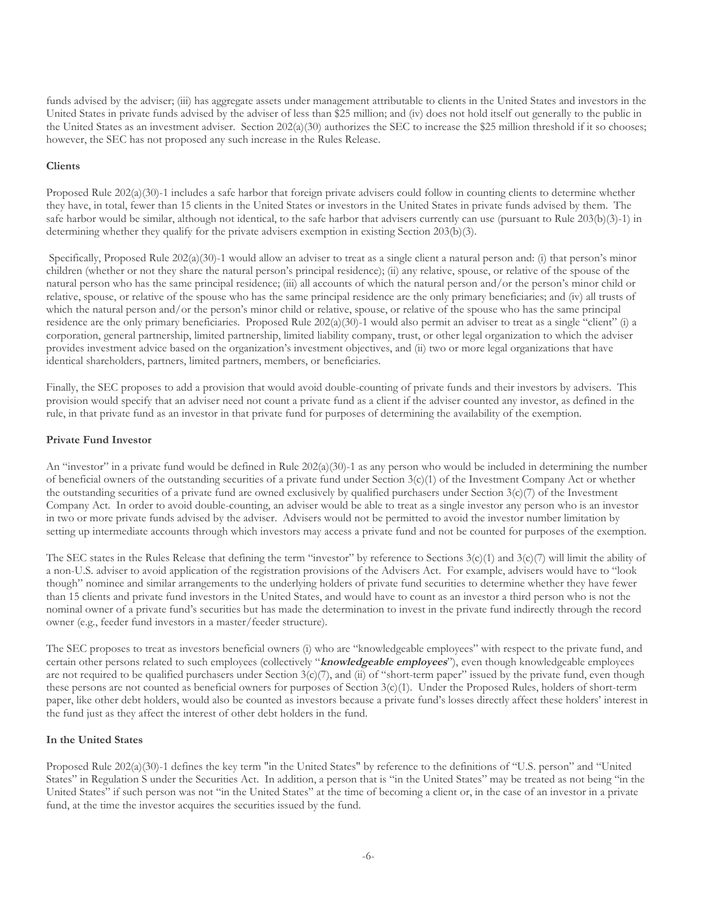funds advised by the adviser; (iii) has aggregate assets under management attributable to clients in the United States and investors in the United States in private funds advised by the adviser of less than \$25 million; and (iv) does not hold itself out generally to the public in the United States as an investment adviser. Section 202(a)(30) authorizes the SEC to increase the \$25 million threshold if it so chooses; however, the SEC has not proposed any such increase in the Rules Release.

#### **Clients**

Proposed Rule 202(a)(30)-1 includes a safe harbor that foreign private advisers could follow in counting clients to determine whether they have, in total, fewer than 15 clients in the United States or investors in the United States in private funds advised by them. The safe harbor would be similar, although not identical, to the safe harbor that advisers currently can use (pursuant to Rule 203(b)(3)-1) in determining whether they qualify for the private advisers exemption in existing Section 203(b)(3).

Specifically, Proposed Rule  $202(a)(30)$ -1 would allow an adviser to treat as a single client a natural person and: (i) that person's minor children (whether or not they share the natural person's principal residence); (ii) any relative, spouse, or relative of the spouse of the natural person who has the same principal residence; (iii) all accounts of which the natural person and/or the person's minor child or relative, spouse, or relative of the spouse who has the same principal residence are the only primary beneficiaries; and (iv) all trusts of which the natural person and/or the person's minor child or relative, spouse, or relative of the spouse who has the same principal residence are the only primary beneficiaries. Proposed Rule 202(a)(30)-1 would also permit an adviser to treat as a single "client" (i) a corporation, general partnership, limited partnership, limited liability company, trust, or other legal organization to which the adviser provides investment advice based on the organization's investment objectives, and (ii) two or more legal organizations that have identical shareholders, partners, limited partners, members, or beneficiaries.

Finally, the SEC proposes to add a provision that would avoid double-counting of private funds and their investors by advisers. This provision would specify that an adviser need not count a private fund as a client if the adviser counted any investor, as defined in the rule, in that private fund as an investor in that private fund for purposes of determining the availability of the exemption.

#### **Private Fund Investor**

An "investor" in a private fund would be defined in Rule 202(a)(30)-1 as any person who would be included in determining the number of beneficial owners of the outstanding securities of a private fund under Section 3(c)(1) of the Investment Company Act or whether the outstanding securities of a private fund are owned exclusively by qualified purchasers under Section  $3(c)/7$  of the Investment Company Act. In order to avoid double-counting, an adviser would be able to treat as a single investor any person who is an investor in two or more private funds advised by the adviser. Advisers would not be permitted to avoid the investor number limitation by setting up intermediate accounts through which investors may access a private fund and not be counted for purposes of the exemption.

The SEC states in the Rules Release that defining the term "investor" by reference to Sections  $3(c)(1)$  and  $3(c)(7)$  will limit the ability of a non-U.S. adviser to avoid application of the registration provisions of the Advisers Act. For example, advisers would have to "look though" nominee and similar arrangements to the underlying holders of private fund securities to determine whether they have fewer than 15 clients and private fund investors in the United States, and would have to count as an investor a third person who is not the nominal owner of a private fund's securities but has made the determination to invest in the private fund indirectly through the record owner (e.g., feeder fund investors in a master/feeder structure).

The SEC proposes to treat as investors beneficial owners (i) who are "knowledgeable employees" with respect to the private fund, and certain other persons related to such employees (collectively "**knowledgeable employees**"), even though knowledgeable employees are not required to be qualified purchasers under Section  $3(c)/7$ , and (ii) of "short-term paper" issued by the private fund, even though these persons are not counted as beneficial owners for purposes of Section 3(c)(1). Under the Proposed Rules, holders of short-term paper, like other debt holders, would also be counted as investors because a private fund's losses directly affect these holders' interest in the fund just as they affect the interest of other debt holders in the fund.

#### **In the United States**

Proposed Rule 202(a)(30)-1 defines the key term "in the United States" by reference to the definitions of "U.S. person" and "United States" in Regulation S under the Securities Act. In addition, a person that is "in the United States" may be treated as not being "in the United States" if such person was not "in the United States" at the time of becoming a client or, in the case of an investor in a private fund, at the time the investor acquires the securities issued by the fund.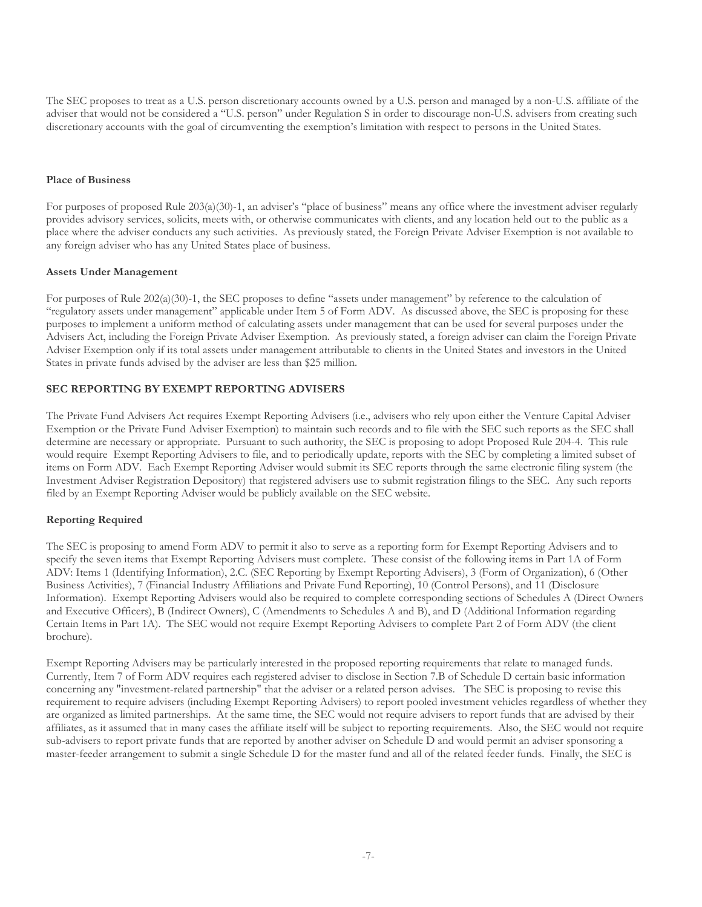The SEC proposes to treat as a U.S. person discretionary accounts owned by a U.S. person and managed by a non-U.S. affiliate of the adviser that would not be considered a "U.S. person" under Regulation S in order to discourage non-U.S. advisers from creating such discretionary accounts with the goal of circumventing the exemption's limitation with respect to persons in the United States.

#### **Place of Business**

For purposes of proposed Rule 203(a)(30)-1, an adviser's "place of business" means any office where the investment adviser regularly provides advisory services, solicits, meets with, or otherwise communicates with clients, and any location held out to the public as a place where the adviser conducts any such activities. As previously stated, the Foreign Private Adviser Exemption is not available to any foreign adviser who has any United States place of business.

#### **Assets Under Management**

For purposes of Rule 202(a)(30)-1, the SEC proposes to define "assets under management" by reference to the calculation of "regulatory assets under management" applicable under Item 5 of Form ADV. As discussed above, the SEC is proposing for these purposes to implement a uniform method of calculating assets under management that can be used for several purposes under the Advisers Act, including the Foreign Private Adviser Exemption. As previously stated, a foreign adviser can claim the Foreign Private Adviser Exemption only if its total assets under management attributable to clients in the United States and investors in the United States in private funds advised by the adviser are less than \$25 million.

#### **SEC REPORTING BY EXEMPT REPORTING ADVISERS**

The Private Fund Advisers Act requires Exempt Reporting Advisers (i.e., advisers who rely upon either the Venture Capital Adviser Exemption or the Private Fund Adviser Exemption) to maintain such records and to file with the SEC such reports as the SEC shall determine are necessary or appropriate. Pursuant to such authority, the SEC is proposing to adopt Proposed Rule 204-4. This rule would require Exempt Reporting Advisers to file, and to periodically update, reports with the SEC by completing a limited subset of items on Form ADV. Each Exempt Reporting Adviser would submit its SEC reports through the same electronic filing system (the Investment Adviser Registration Depository) that registered advisers use to submit registration filings to the SEC. Any such reports filed by an Exempt Reporting Adviser would be publicly available on the SEC website.

#### **Reporting Required**

The SEC is proposing to amend Form ADV to permit it also to serve as a reporting form for Exempt Reporting Advisers and to specify the seven items that Exempt Reporting Advisers must complete. These consist of the following items in Part 1A of Form ADV: Items 1 (Identifying Information), 2.C. (SEC Reporting by Exempt Reporting Advisers), 3 (Form of Organization), 6 (Other Business Activities), 7 (Financial Industry Affiliations and Private Fund Reporting), 10 (Control Persons), and 11 (Disclosure Information). Exempt Reporting Advisers would also be required to complete corresponding sections of Schedules A (Direct Owners and Executive Officers), B (Indirect Owners), C (Amendments to Schedules A and B), and D (Additional Information regarding Certain Items in Part 1A). The SEC would not require Exempt Reporting Advisers to complete Part 2 of Form ADV (the client brochure).

Exempt Reporting Advisers may be particularly interested in the proposed reporting requirements that relate to managed funds. Currently, Item 7 of Form ADV requires each registered adviser to disclose in Section 7.B of Schedule D certain basic information concerning any "investment-related partnership" that the adviser or a related person advises. The SEC is proposing to revise this requirement to require advisers (including Exempt Reporting Advisers) to report pooled investment vehicles regardless of whether they are organized as limited partnerships. At the same time, the SEC would not require advisers to report funds that are advised by their affiliates, as it assumed that in many cases the affiliate itself will be subject to reporting requirements. Also, the SEC would not require sub-advisers to report private funds that are reported by another adviser on Schedule D and would permit an adviser sponsoring a master-feeder arrangement to submit a single Schedule D for the master fund and all of the related feeder funds. Finally, the SEC is